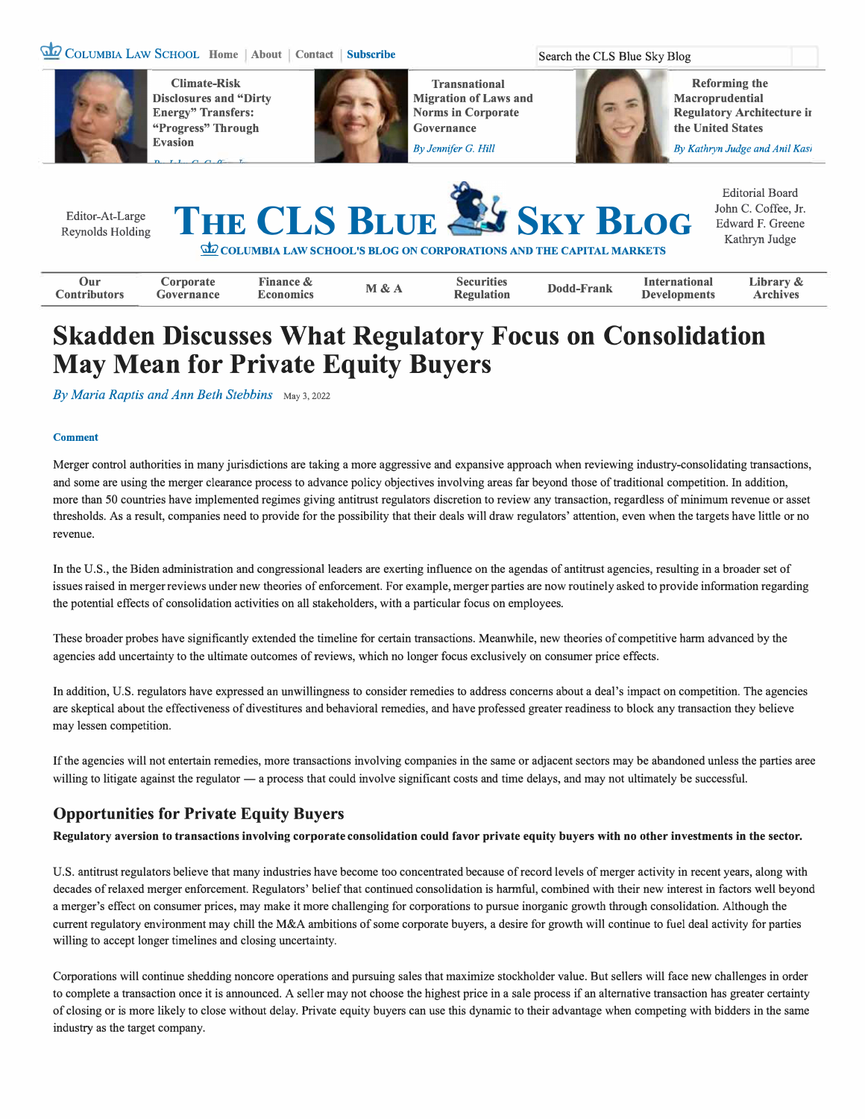## **� COLUMBIA LAW SCHOOL Home About Contact Subscribe Search the CLS Blue Sky Blog**



**EXECUTE: Through Governance Constitution of the United States Covernance Constitution in the United States Evasion** *By Jennifer G. Hill By Jennifer G. Hill**By Kathryn Judge and Anil Kasi**By Kathryn Judge and Anil Kasi* 



**Climate-Risk Transnational Reforming the Disclosures and "Dirty Migration of Laws and Macroprudential** 

**Energy" Transfers:** Norms in Corporate Regulatory Architecture in Regulatory Architecture in Regulatory Architecture in Regulatory Architecture in Regulatory Architecture in Regulatory Architecture in Regulatory Architect



# **Skadden Discusses What Regulatory Focus on Consolidation May Mean for Private Equity Buyers**

By Maria Raptis and Ann Beth Stebbins May 3, 2022

#### **Comment**

Merger control authorities in many jurisdictions are taking a more aggressive and expansive approach when reviewing industry-consolidating transactions, and some are using the merger clearance process to advance policy objectives involving areas far beyond those of traditional competition. In addition, more than 50 countries have implemented regimes giving antitrust regulators discretion to review any transaction, regardless of minimum revenue or asset thresholds. As a result, companies need to provide for the possibility that their deals will draw regulators' attention, even when the targets have little or no revenue.

In the U.S., the Biden administration and congressional leaders are exerting influence on the agendas of antitrust agencies, resulting in a broader set of issues raised in merger reviews under new theories of enforcement. For example, merger parties are now routinely asked to provide information regarding the potential effects of consolidation activities on all stakeholders, with a particular focus on employees.

These broader probes have significantly extended the timeline for certain transactions. Meanwhile, new theories of competitive harm advanced by the agencies add uncertainty to the ultimate outcomes ofreviews, which no longer focus exclusively on consumer price effects.

In addition, U.S. regulators have expressed an unwillingness to consider remedies to address concerns about a deal's impact on competition. The agencies are skeptical about the effectiveness of divestitures and behavioral remedies, and have professed greater readiness to block any transaction they believe may lessen competition.

**If** the agencies will not entertain remedies, more transactions involving companies in the same or adjacent sectors may be abandoned unless the parties aree willing to litigate against the regulator — a process that could involve significant costs and time delays, and may not ultimately be successful.

# **Opportunities for Private Equity Buyers**

**Regulatory aversion to transactions involving corporate consolidation could favor private equity buyers with no other investments in the sector.** 

U.S. antitrust regulators believe that many industries have become too concentrated because of record levels of merger activity in recent years, along with decades ofrelaxed merger enforcement. Regulators' belief that continued consolidation is harmful, combined with their new interest in factors well beyond a merger's effect on consumer prices, may make it more challenging for corporations to pursue inorganic growth through consolidation. Although the current regulatory environment may chill the M&A ambitions of some corporate buyers, a desire for growth will continue to fuel deal activity for parties willing to accept longer timelines and closing uncertainty.

Corporations will continue shedding noncore operations and pursuing sales that maximize stockholder value. But sellers will face new challenges in order to complete a transaction once it is announced. A seller may not choose the highest price in a sale process if an alternative transaction has greater certainty of closing or is more likely to close without delay. Private equity buyers can use this dynamic to their advantage when competing with bidders in the same industry as the target company.